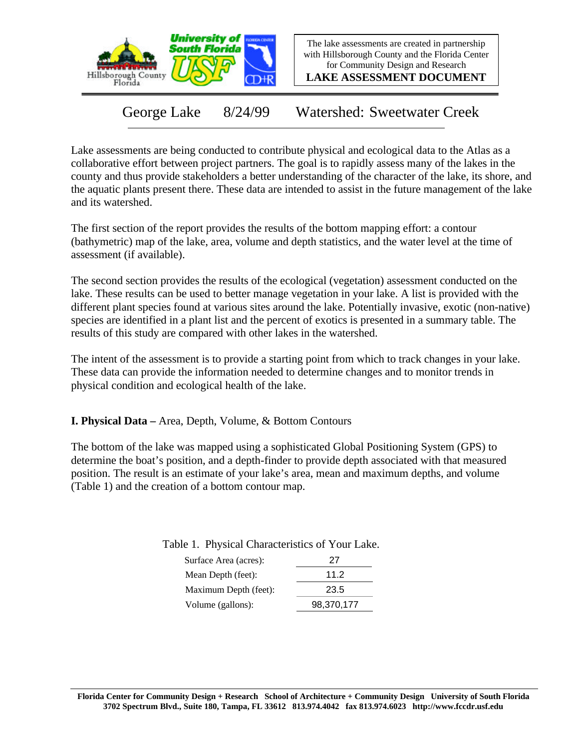

The lake assessments are created in partnership with Hillsborough County and the Florida Center for Community Design and Research

**LAKE ASSESSMENT DOCUMENT**

George Lake 8/24/99 Watershed: Sweetwater Creek

Lake assessments are being conducted to contribute physical and ecological data to the Atlas as a collaborative effort between project partners. The goal is to rapidly assess many of the lakes in the county and thus provide stakeholders a better understanding of the character of the lake, its shore, and the aquatic plants present there. These data are intended to assist in the future management of the lake and its watershed.

The first section of the report provides the results of the bottom mapping effort: a contour (bathymetric) map of the lake, area, volume and depth statistics, and the water level at the time of assessment (if available).

The second section provides the results of the ecological (vegetation) assessment conducted on the lake. These results can be used to better manage vegetation in your lake. A list is provided with the different plant species found at various sites around the lake. Potentially invasive, exotic (non-native) species are identified in a plant list and the percent of exotics is presented in a summary table. The results of this study are compared with other lakes in the watershed.

The intent of the assessment is to provide a starting point from which to track changes in your lake. These data can provide the information needed to determine changes and to monitor trends in physical condition and ecological health of the lake.

**I. Physical Data –** Area, Depth, Volume, & Bottom Contours

The bottom of the lake was mapped using a sophisticated Global Positioning System (GPS) to determine the boat's position, and a depth-finder to provide depth associated with that measured position. The result is an estimate of your lake's area, mean and maximum depths, and volume (Table 1) and the creation of a bottom contour map.

| Surface Area (acres): | 27         |
|-----------------------|------------|
| Mean Depth (feet):    | 11.2       |
| Maximum Depth (feet): | 23.5       |
| Volume (gallons):     | 98,370,177 |

Table 1. Physical Characteristics of Your Lake.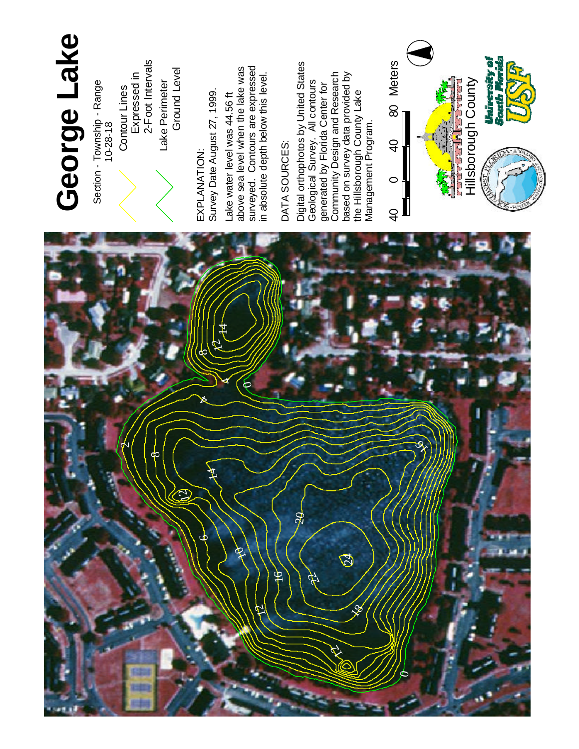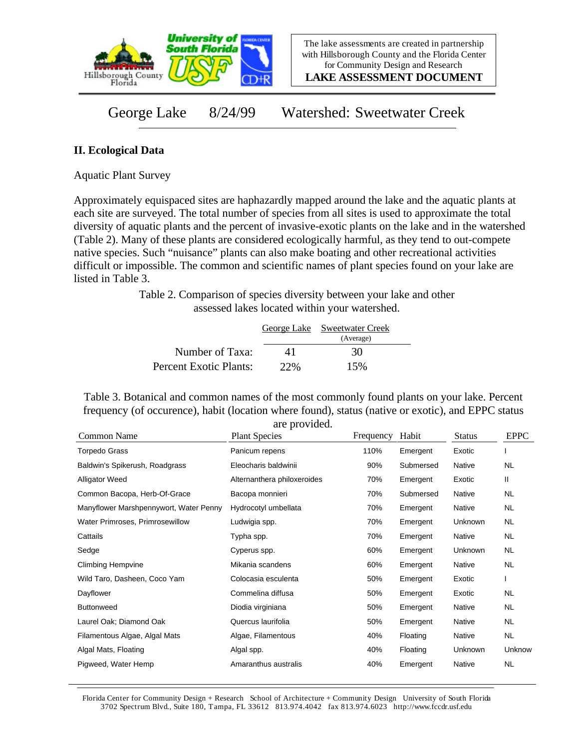

**LAKE ASSESSMENT DOCUMENT**

George Lake 8/24/99 Watershed: Sweetwater Creek

## **II. Ecological Data**

Aquatic Plant Survey

Approximately equispaced sites are haphazardly mapped around the lake and the aquatic plants at each site are surveyed. The total number of species from all sites is used to approximate the total diversity of aquatic plants and the percent of invasive-exotic plants on the lake and in the watershed (Table 2). Many of these plants are considered ecologically harmful, as they tend to out-compete native species. Such "nuisance" plants can also make boating and other recreational activities difficult or impossible. The common and scientific names of plant species found on your lake are listed in Table 3.

> Table 2. Comparison of species diversity between your lake and other assessed lakes located within your watershed.

|                        |     | George Lake Sweetwater Creek |  |
|------------------------|-----|------------------------------|--|
|                        |     | (Average)                    |  |
| Number of Taxa:        | 41  | 30                           |  |
| Percent Exotic Plants: | 22% | 15%                          |  |

Table 3. Botanical and common names of the most commonly found plants on your lake. Percent frequency (of occurence), habit (location where found), status (native or exotic), and EPPC status are provided.

| Common Name                            | <b>Plant Species</b>        | Frequency | Habit     | <b>Status</b> | <b>EPPC</b> |
|----------------------------------------|-----------------------------|-----------|-----------|---------------|-------------|
| <b>Torpedo Grass</b>                   | Panicum repens              | 110%      | Emergent  | Exotic        |             |
| Baldwin's Spikerush, Roadgrass         | Eleocharis baldwinii        | 90%       | Submersed | <b>Native</b> | <b>NL</b>   |
| Alligator Weed                         | Alternanthera philoxeroides | 70%       | Emergent  | Exotic        | Ш           |
| Common Bacopa, Herb-Of-Grace           | Bacopa monnieri             | 70%       | Submersed | Native        | <b>NL</b>   |
| Manyflower Marshpennywort, Water Penny | Hydrocotyl umbellata        | 70%       | Emergent  | Native        | NL.         |
| Water Primroses, Primrosewillow        | Ludwigia spp.               | 70%       | Emergent  | Unknown       | NL.         |
| Cattails                               | Typha spp.                  | 70%       | Emergent  | Native        | NL.         |
| Sedge                                  | Cyperus spp.                | 60%       | Emergent  | Unknown       | NL.         |
| <b>Climbing Hempvine</b>               | Mikania scandens            | 60%       | Emergent  | Native        | <b>NL</b>   |
| Wild Taro, Dasheen, Coco Yam           | Colocasia esculenta         | 50%       | Emergent  | Exotic        |             |
| Dayflower                              | Commelina diffusa           | 50%       | Emergent  | Exotic        | <b>NL</b>   |
| <b>Buttonweed</b>                      | Diodia virginiana           | 50%       | Emergent  | Native        | NL.         |
| Laurel Oak; Diamond Oak                | Quercus laurifolia          | 50%       | Emergent  | Native        | NL.         |
| Filamentous Algae, Algal Mats          | Algae, Filamentous          | 40%       | Floating  | Native        | <b>NL</b>   |
| Algal Mats, Floating                   | Algal spp.                  | 40%       | Floating  | Unknown       | Unknow      |
| Pigweed, Water Hemp                    | Amaranthus australis        | 40%       | Emergent  | Native        | <b>NL</b>   |

Florida Center for Community Design + Research School of Architecture + Community Design University of South Florida 3702 Spectrum Blvd., Suite 180, Tampa, FL 33612 813.974.4042 fax 813.974.6023 http://www.fccdr.usf.edu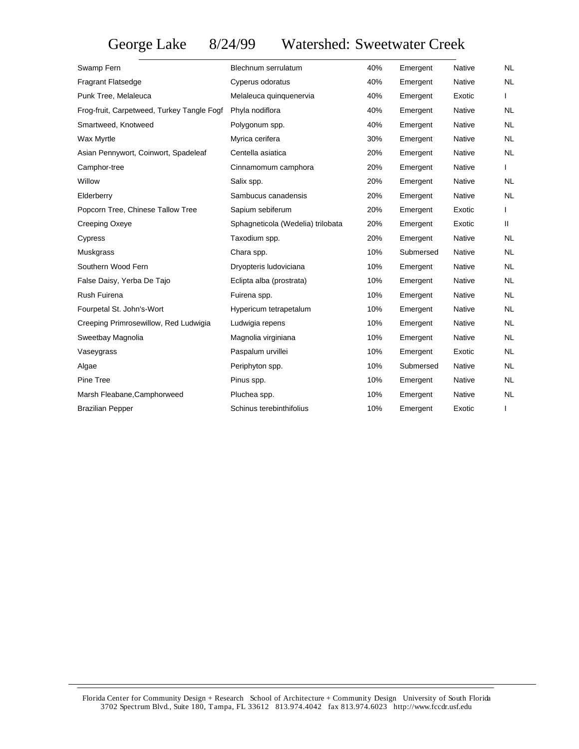George Lake 8/24/99 Watershed: Sweetwater Creek

| Swamp Fern                                 | Blechnum serrulatum               | 40% | Emergent  | Native        | <b>NL</b> |
|--------------------------------------------|-----------------------------------|-----|-----------|---------------|-----------|
| <b>Fragrant Flatsedge</b>                  | Cyperus odoratus                  | 40% | Emergent  | Native        | NL.       |
| Punk Tree, Melaleuca                       | Melaleuca quinquenervia           | 40% | Emergent  | Exotic        |           |
| Frog-fruit, Carpetweed, Turkey Tangle Fogf | Phyla nodiflora                   | 40% | Emergent  | Native        | <b>NL</b> |
| Smartweed, Knotweed                        | Polygonum spp.                    | 40% | Emergent  | Native        | <b>NL</b> |
| Wax Myrtle                                 | Myrica cerifera                   | 30% | Emergent  | Native        | <b>NL</b> |
| Asian Pennywort, Coinwort, Spadeleaf       | Centella asiatica                 | 20% | Emergent  | Native        | <b>NL</b> |
| Camphor-tree                               | Cinnamomum camphora               | 20% | Emergent  | Native        |           |
| Willow                                     | Salix spp.                        | 20% | Emergent  | Native        | <b>NL</b> |
| Elderberry                                 | Sambucus canadensis               | 20% | Emergent  | Native        | <b>NL</b> |
| Popcorn Tree, Chinese Tallow Tree          | Sapium sebiferum                  | 20% | Emergent  | Exotic        |           |
| Creeping Oxeye                             | Sphagneticola (Wedelia) trilobata | 20% | Emergent  | Exotic        | Ш.        |
| Cypress                                    | Taxodium spp.                     | 20% | Emergent  | Native        | <b>NL</b> |
| Muskgrass                                  | Chara spp.                        | 10% | Submersed | Native        | <b>NL</b> |
| Southern Wood Fern                         | Dryopteris ludoviciana            | 10% | Emergent  | Native        | <b>NL</b> |
| False Daisy, Yerba De Tajo                 | Eclipta alba (prostrata)          | 10% | Emergent  | Native        | <b>NL</b> |
| Rush Fuirena                               | Fuirena spp.                      | 10% | Emergent  | Native        | <b>NL</b> |
| Fourpetal St. John's-Wort                  | Hypericum tetrapetalum            | 10% | Emergent  | Native        | NL.       |
| Creeping Primrosewillow, Red Ludwigia      | Ludwigia repens                   | 10% | Emergent  | Native        | <b>NL</b> |
| Sweetbay Magnolia                          | Magnolia virginiana               | 10% | Emergent  | Native        | <b>NL</b> |
| Vaseygrass                                 | Paspalum urvillei                 | 10% | Emergent  | Exotic        | <b>NL</b> |
| Algae                                      | Periphyton spp.                   | 10% | Submersed | <b>Native</b> | <b>NL</b> |
| Pine Tree                                  | Pinus spp.                        | 10% | Emergent  | Native        | <b>NL</b> |
| Marsh Fleabane, Camphorweed                | Pluchea spp.                      | 10% | Emergent  | Native        | NL.       |
| <b>Brazilian Pepper</b>                    | Schinus terebinthifolius          | 10% | Emergent  | Exotic        |           |